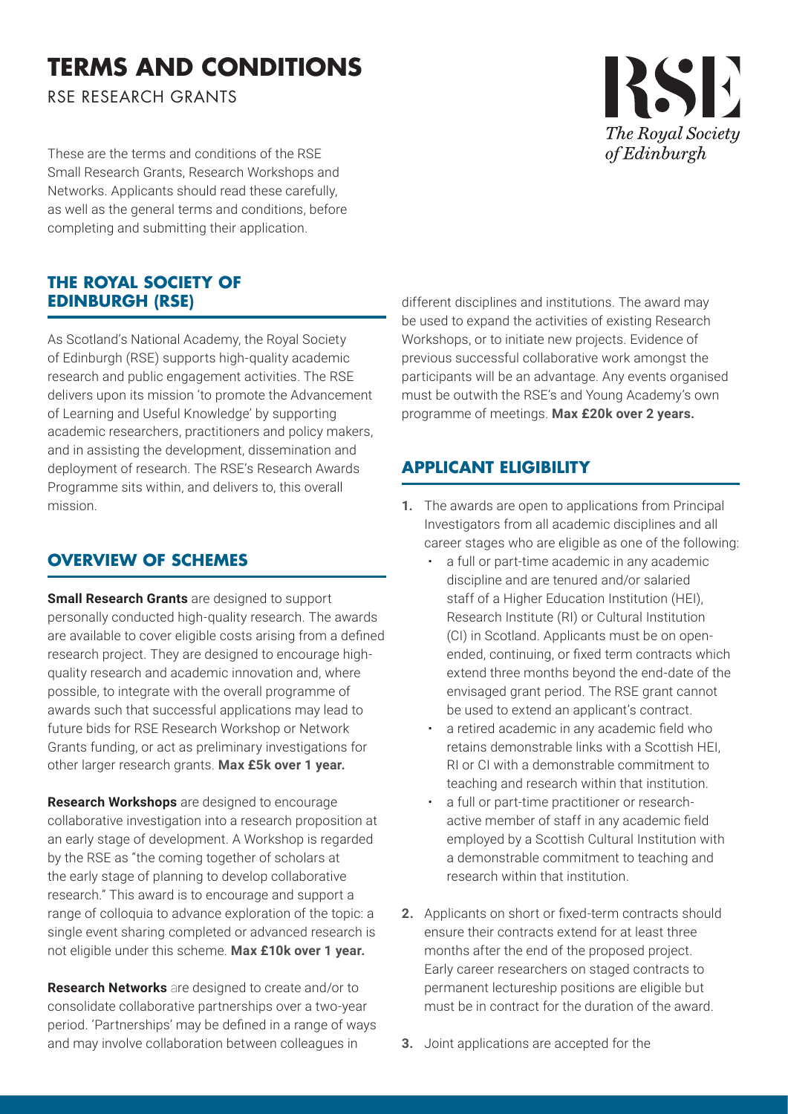# **TERMS AND CONDITIONS**

RSE RESEARCH GRANTS

These are the terms and conditions of the RSE Small Research Grants, Research Workshops and Networks. Applicants should read these carefully, as well as the general terms and conditions, before completing and submitting their application.

### **THE ROYAL SOCIETY OF EDINBURGH (RSE)**

As Scotland's National Academy, the Royal Society of Edinburgh (RSE) supports high-quality academic research and public engagement activities. The RSE delivers upon its mission 'to promote the Advancement of Learning and Useful Knowledge' by supporting academic researchers, practitioners and policy makers, and in assisting the development, dissemination and deployment of research. The RSE's Research Awards Programme sits within, and delivers to, this overall mission.

## **OVERVIEW OF SCHEMES**

**Small Research Grants** are designed to support personally conducted high-quality research. The awards are available to cover eligible costs arising from a defined research project. They are designed to encourage highquality research and academic innovation and, where possible, to integrate with the overall programme of awards such that successful applications may lead to future bids for RSE Research Workshop or Network Grants funding, or act as preliminary investigations for other larger research grants. **Max £5k over 1 year.**

**Research Workshops** are designed to encourage collaborative investigation into a research proposition at an early stage of development. A Workshop is regarded by the RSE as "the coming together of scholars at the early stage of planning to develop collaborative research." This award is to encourage and support a range of colloquia to advance exploration of the topic: a single event sharing completed or advanced research is not eligible under this scheme. **Max £10k over 1 year.**

**Research Networks** are designed to create and/or to consolidate collaborative partnerships over a two-year period. 'Partnerships' may be defined in a range of ways and may involve collaboration between colleagues in

different disciplines and institutions. The award may be used to expand the activities of existing Research Workshops, or to initiate new projects. Evidence of previous successful collaborative work amongst the participants will be an advantage. Any events organised must be outwith the RSE's and Young Academy's own programme of meetings. **Max £20k over 2 years.**

## **APPLICANT ELIGIBILITY**

- **1.** The awards are open to applications from Principal Investigators from all academic disciplines and all career stages who are eligible as one of the following:
	- a full or part-time academic in any academic discipline and are tenured and/or salaried staff of a Higher Education Institution (HEI), Research Institute (RI) or Cultural Institution (CI) in Scotland. Applicants must be on openended, continuing, or fixed term contracts which extend three months beyond the end-date of the envisaged grant period. The RSE grant cannot be used to extend an applicant's contract.
	- a retired academic in any academic field who retains demonstrable links with a Scottish HEI, RI or CI with a demonstrable commitment to teaching and research within that institution.
	- a full or part-time practitioner or researchactive member of staff in any academic field employed by a Scottish Cultural Institution with a demonstrable commitment to teaching and research within that institution.
- **2.** Applicants on short or fixed-term contracts should ensure their contracts extend for at least three months after the end of the proposed project. Early career researchers on staged contracts to permanent lectureship positions are eligible but must be in contract for the duration of the award.
- **3.** Joint applications are accepted for the

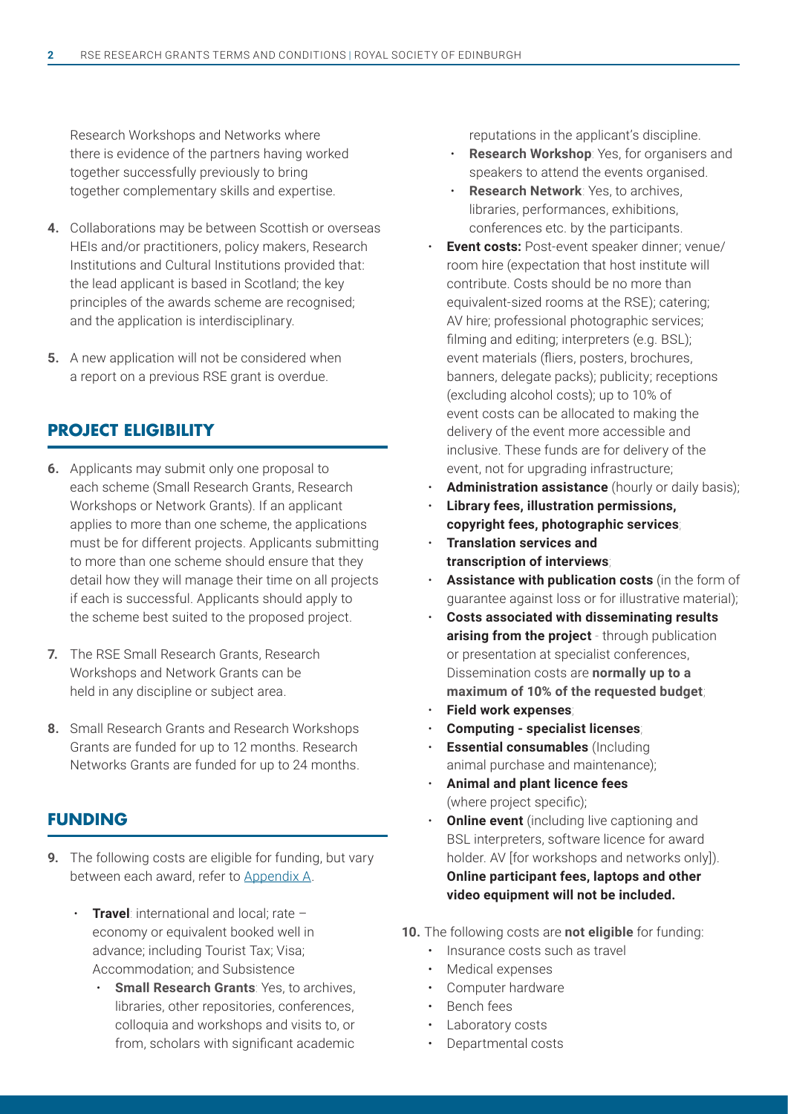Research Workshops and Networks where there is evidence of the partners having worked together successfully previously to bring together complementary skills and expertise.

- **4.** Collaborations may be between Scottish or overseas HEIs and/or practitioners, policy makers, Research Institutions and Cultural Institutions provided that: the lead applicant is based in Scotland; the key principles of the awards scheme are recognised; and the application is interdisciplinary.
- **5.** A new application will not be considered when a report on a previous RSE grant is overdue.

#### **PROJECT ELIGIBILITY**

- **6.** Applicants may submit only one proposal to each scheme (Small Research Grants, Research Workshops or Network Grants). If an applicant applies to more than one scheme, the applications must be for different projects. Applicants submitting to more than one scheme should ensure that they detail how they will manage their time on all projects if each is successful. Applicants should apply to the scheme best suited to the proposed project.
- **7.** The RSE Small Research Grants, Research Workshops and Network Grants can be held in any discipline or subject area.
- **8.** Small Research Grants and Research Workshops Grants are funded for up to 12 months. Research Networks Grants are funded for up to 24 months.

#### **FUNDING**

- **9.** The following costs are eligible for funding, but vary between each award, refer to Appendix A.
	- **Travel**: international and local; rate economy or equivalent booked well in advance; including Tourist Tax; Visa; Accommodation; and Subsistence
		- **Small Research Grants: Yes, to archives,** libraries, other repositories, conferences, colloquia and workshops and visits to, or from, scholars with significant academic

reputations in the applicant's discipline.

- **Research Workshop**: Yes, for organisers and speakers to attend the events organised.
- **Research Network**: Yes, to archives, libraries, performances, exhibitions, conferences etc. by the participants.
- **Event costs:** Post-event speaker dinner; venue/ room hire (expectation that host institute will contribute. Costs should be no more than equivalent-sized rooms at the RSE); catering; AV hire; professional photographic services; filming and editing; interpreters (e.g. BSL); event materials (fliers, posters, brochures, banners, delegate packs); publicity; receptions (excluding alcohol costs); up to 10% of event costs can be allocated to making the delivery of the event more accessible and inclusive. These funds are for delivery of the event, not for upgrading infrastructure;
- Administration assistance (hourly or daily basis);
- **Library fees, illustration permissions, copyright fees, photographic services**;
- **Translation services and transcription of interviews**;
- **Assistance with publication costs** (in the form of guarantee against loss or for illustrative material);
- **Costs associated with disseminating results arising from the project** - through publication or presentation at specialist conferences, Dissemination costs are **normally up to a maximum of 10% of the requested budget**;
- **Field work expenses**;
- **Computing specialist licenses**;
- **Essential consumables** (Including animal purchase and maintenance);
- **Animal and plant licence fees** (where project specific);
- **Online event** (including live captioning and BSL interpreters, software licence for award holder. AV [for workshops and networks only]). **Online participant fees, laptops and other video equipment will not be included.**
- **10.** The following costs are **not eligible** for funding:
	- Insurance costs such as travel
	- Medical expenses
	- Computer hardware
	- Bench fees
	- Laboratory costs
	- Departmental costs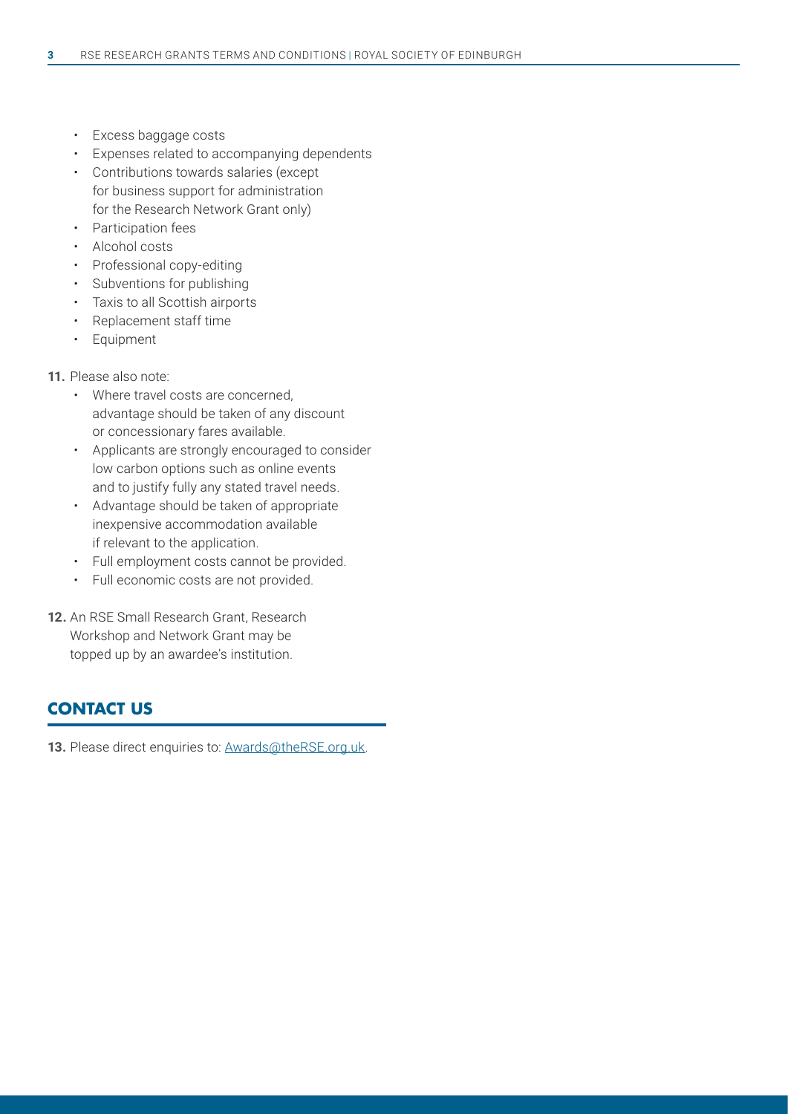- Excess baggage costs
- Expenses related to accompanying dependents
- Contributions towards salaries (except for business support for administration for the Research Network Grant only)
- Participation fees
- Alcohol costs
- Professional copy-editing
- Subventions for publishing
- Taxis to all Scottish airports
- Replacement staff time
- Equipment

#### **11.** Please also note:

- Where travel costs are concerned, advantage should be taken of any discount or concessionary fares available.
- Applicants are strongly encouraged to consider low carbon options such as online events and to justify fully any stated travel needs.
- Advantage should be taken of appropriate inexpensive accommodation available if relevant to the application.
- Full employment costs cannot be provided.
- Full economic costs are not provided.
- **12.** An RSE Small Research Grant, Research Workshop and Network Grant may be topped up by an awardee's institution.

### **CONTACT US**

13. Please direct enquiries to: Awards@theRSE.org.uk.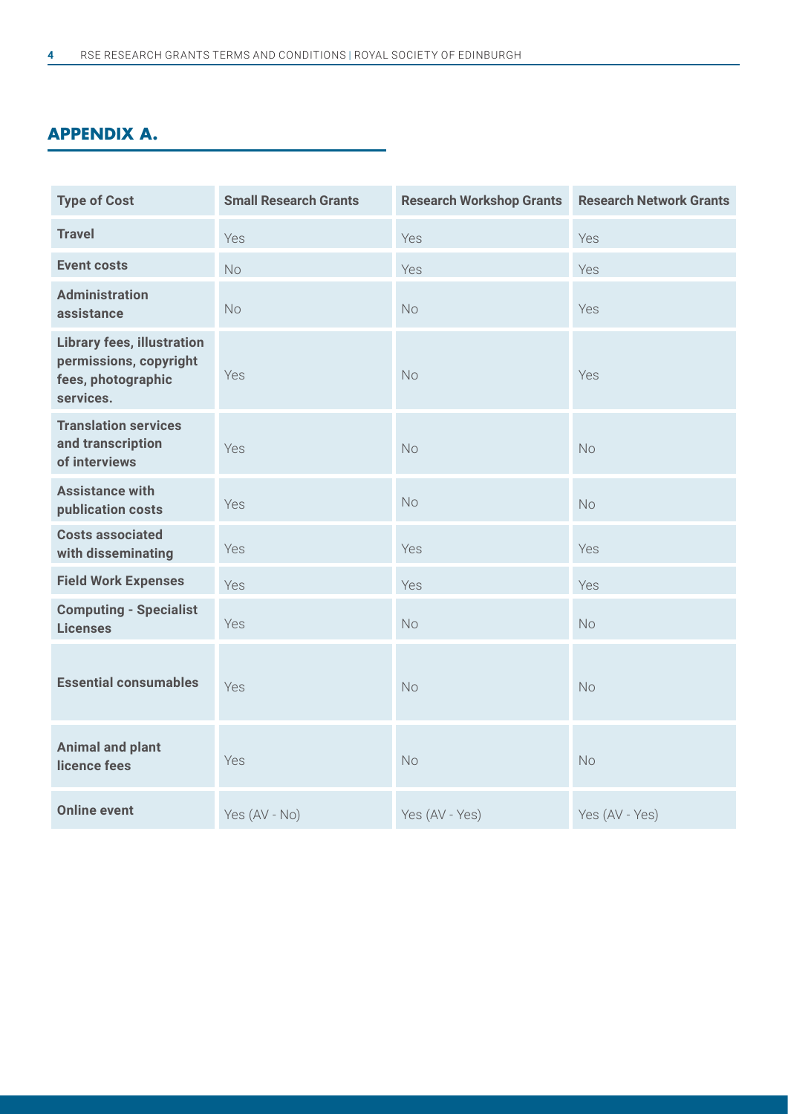## **APPENDIX A.**

| <b>Type of Cost</b>                                                                            | <b>Small Research Grants</b> | <b>Research Workshop Grants</b> | <b>Research Network Grants</b> |
|------------------------------------------------------------------------------------------------|------------------------------|---------------------------------|--------------------------------|
| <b>Travel</b>                                                                                  | Yes                          | Yes                             | Yes                            |
| <b>Event costs</b>                                                                             | <b>No</b>                    | Yes                             | Yes                            |
| <b>Administration</b><br>assistance                                                            | No                           | <b>No</b>                       | Yes                            |
| <b>Library fees, illustration</b><br>permissions, copyright<br>fees, photographic<br>services. | Yes                          | No                              | Yes                            |
| <b>Translation services</b><br>and transcription<br>of interviews                              | Yes                          | <b>No</b>                       | <b>No</b>                      |
| <b>Assistance with</b><br>publication costs                                                    | Yes                          | No                              | <b>No</b>                      |
| <b>Costs associated</b><br>with disseminating                                                  | Yes                          | Yes                             | Yes                            |
| <b>Field Work Expenses</b>                                                                     | Yes                          | Yes                             | Yes                            |
| <b>Computing - Specialist</b><br><b>Licenses</b>                                               | Yes                          | No                              | No                             |
| <b>Essential consumables</b>                                                                   | Yes                          | <b>No</b>                       | No                             |
| <b>Animal and plant</b><br>licence fees                                                        | Yes                          | <b>No</b>                       | <b>No</b>                      |
| <b>Online event</b>                                                                            | Yes (AV - No)                | Yes (AV - Yes)                  | Yes (AV - Yes)                 |